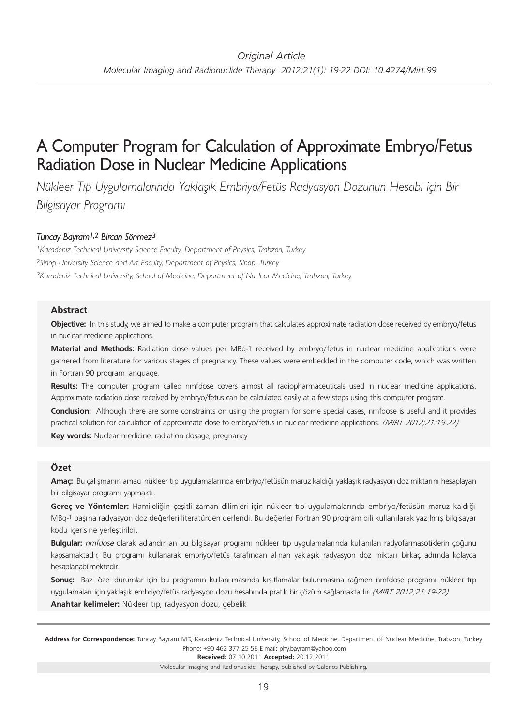# A Computer Program for Calculation of Approximate Embryo/Fetus Radiation Dose in Nuclear Medicine Applications

*Nükleer Tıp Uygulamalarında Yaklaşık Embriyo/Fetüs Radyasyon Dozunun Hesabı için Bir Bilgisayar Programı*

## *Tuncay Bayram1,2 Bircan Sönmez3*

*1Karadeniz Technical University Science Faculty, Department of Physics, Trabzon, Turkey 2Sinop University Science and Art Faculty, Department of Physics, Sinop, Turkey 3Karadeniz Technical University, School of Medicine, Department of Nuclear Medicine, Trabzon, Turkey*

#### **Abstract**

**Objective:** In this study, we aimed to make a computer program that calculates approximate radiation dose received by embryo/fetus in nuclear medicine applications.

**Material and Methods:** Radiation dose values per MBq-1 received by embryo/fetus in nuclear medicine applications were gathered from literature for various stages of pregnancy. These values were embedded in the computer code, which was written in Fortran 90 program language.

**Results:** The computer program called nmfdose covers almost all radiopharmaceuticals used in nuclear medicine applications. Approximate radiation dose received by embryo/fetus can be calculated easily at a few steps using this computer program.

**Conclusion:** Although there are some constraints on using the program for some special cases, nmfdose is useful and it provides practical solution for calculation of approximate dose to embryo/fetus in nuclear medicine applications. *(MIRT 2012;21:19-22)* **Key words:** Nuclear medicine, radiation dosage, pregnancy

## **Özet**

**Amaç:** Bu çalışmanın amacı nükleer tıp uygulamalarında embriyo/fetüsün maruz kaldığı yaklaşık radyasyon doz miktarını hesaplayan bir bilgisayar programı yapmaktı.

**Gereç ve Yöntemler:** Hamileliğin çeşitli zaman dilimleri için nükleer tıp uygulamalarında embriyo/fetüsün maruz kaldığı MBq-1 başına radyasyon doz değerleri literatürden derlendi. Bu değerler Fortran 90 program dili kullanılarak yazılmış bilgisayar kodu içerisine yerleştirildi.

**Bulgular:** nmfdose olarak adlandırılan bu bilgisayar programı nükleer tıp uygulamalarında kullanılan radyofarmasotiklerin çoğunu kapsamaktadır. Bu programı kullanarak embriyo/fetüs tarafından alınan yaklaşık radyasyon doz miktarı birkaç adımda kolayca hesaplanabilmektedir.

**Sonuç:** Bazı özel durumlar için bu programın kullanılmasında kısıtlamalar bulunmasına rağmen nmfdose programı nükleer tıp uygulamaları için yaklaşık embriyo/fetüs radyasyon dozu hesabında pratik bir çözüm sağlamaktadır. *(MIRT 2012;21:19-22)* **Anahtar kelimeler:** Nükleer tıp, radyasyon dozu, gebelik

Address for Correspondence: Tuncay Bayram MD, Karadeniz Technical University, School of Medicine, Department of Nuclear Medicine, Trabzon, Turkey Phone: +90 462 377 25 56 E-mail: phy.bayram@yahoo.com

**Received:** 07.10.2011 **Ac cep ted:** 20.12.2011

Molecular Imaging and Radionuclide Therapy, published by Galenos Publishing.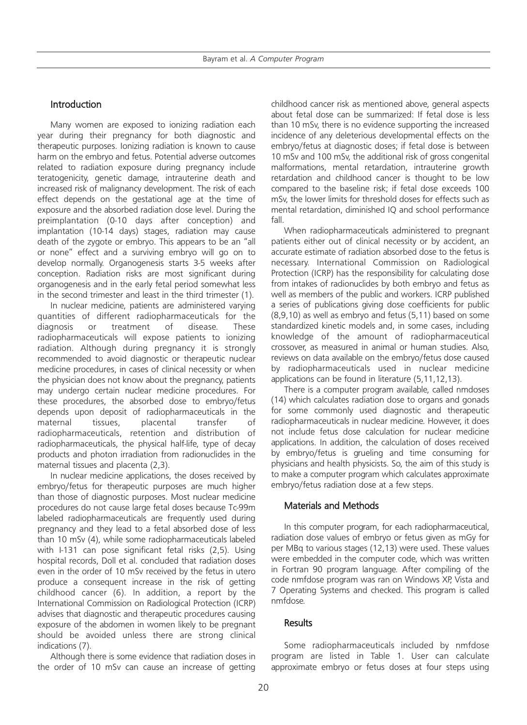# Introduction

Many women are exposed to ionizing radiation each year during their pregnancy for both diagnostic and therapeutic purposes. Ionizing radiation is known to cause harm on the embryo and fetus. Potential adverse outcomes related to radiation exposure during pregnancy include teratogenicity, genetic damage, intrauterine death and increased risk of malignancy development. The risk of each effect depends on the gestational age at the time of exposure and the absorbed radiation dose level. During the preimplantation (0-10 days after conception) and implantation (10-14 days) stages, radiation may cause death of the zygote or embryo. This appears to be an "all or none" effect and a surviving embryo will go on to develop normally. Organogenesis starts 3-5 weeks after conception. Radiation risks are most significant during organogenesis and in the early fetal period somewhat less in the second trimester and least in the third trimester (1).

In nuclear medicine, patients are administered varying quantities of different radiopharmaceuticals for the diagnosis or treatment of disease. These radiopharmaceuticals will expose patients to ionizing radiation. Although during pregnancy it is strongly recommended to avoid diagnostic or therapeutic nuclear medicine procedures, in cases of clinical necessity or when the physician does not know about the pregnancy, patients may undergo certain nuclear medicine procedures. For these procedures, the absorbed dose to embryo/fetus depends upon deposit of radiopharmaceuticals in the maternal tissues, placental transfer of radiopharmaceuticals, retention and distribution of radiopharmaceuticals, the physical half-life, type of decay products and photon irradiation from radionuclides in the maternal tissues and placenta (2,3).

In nuclear medicine applications, the doses received by embryo/fetus for therapeutic purposes are much higher than those of diagnostic purposes. Most nuclear medicine procedures do not cause large fetal doses because Tc-99m labeled radiopharmaceuticals are frequently used during pregnancy and they lead to a fetal absorbed dose of less than 10 mSv (4), while some radiopharmaceuticals labeled with I-131 can pose significant fetal risks (2,5). Using hospital records, Doll et al. concluded that radiation doses even in the order of 10 mSv received by the fetus in utero produce a consequent increase in the risk of getting childhood cancer (6). In addition, a report by the International Commission on Radiological Protection (ICRP) advises that diagnostic and therapeutic procedures causing exposure of the abdomen in women likely to be pregnant should be avoided unless there are strong clinical indications (7).

Although there is some evidence that radiation doses in the order of 10 mSv can cause an increase of getting

childhood cancer risk as mentioned above, general aspects about fetal dose can be summarized: If fetal dose is less than 10 mSv, there is no evidence supporting the increased incidence of any deleterious developmental effects on the embryo/fetus at diagnostic doses; if fetal dose is between 10 mSv and 100 mSv, the additional risk of gross congenital malformations, mental retardation, intrauterine growth retardation and childhood cancer is thought to be low compared to the baseline risk; if fetal dose exceeds 100 mSv, the lower limits for threshold doses for effects such as mental retardation, diminished IQ and school performance fall.

When radiopharmaceuticals administered to pregnant patients either out of clinical necessity or by accident, an accurate estimate of radiation absorbed dose to the fetus is necessary. International Commission on Radiological Protection (ICRP) has the responsibility for calculating dose from intakes of radionuclides by both embryo and fetus as well as members of the public and workers. ICRP published a series of publications giving dose coefficients for public (8,9,10) as well as embryo and fetus (5,11) based on some standardized kinetic models and, in some cases, including knowledge of the amount of radiopharmaceutical crossover, as measured in animal or human studies. Also, reviews on data available on the embryo/fetus dose caused by radiopharmaceuticals used in nuclear medicine applications can be found in literature (5,11,12,13).

There is a computer program available, called nmdoses (14) which calculates radiation dose to organs and gonads for some commonly used diagnostic and therapeutic radiopharmaceuticals in nuclear medicine. However, it does not include fetus dose calculation for nuclear medicine applications. In addition, the calculation of doses received by embryo/fetus is grueling and time consuming for physicians and health physicists. So, the aim of this study is to make a computer program which calculates approximate embryo/fetus radiation dose at a few steps.

## Materials and Methods

In this computer program, for each radiopharmaceutical, radiation dose values of embryo or fetus given as mGy for per MBq to various stages (12,13) were used. These values were embedded in the computer code, which was written in Fortran 90 program language. After compiling of the code nmfdose program was ran on Windows XP, Vista and 7 Operating Systems and checked. This program is called nmfdose.

## **Results**

Some radiopharmaceuticals included by nmfdose program are listed in Table 1. User can calculate approximate embryo or fetus doses at four steps using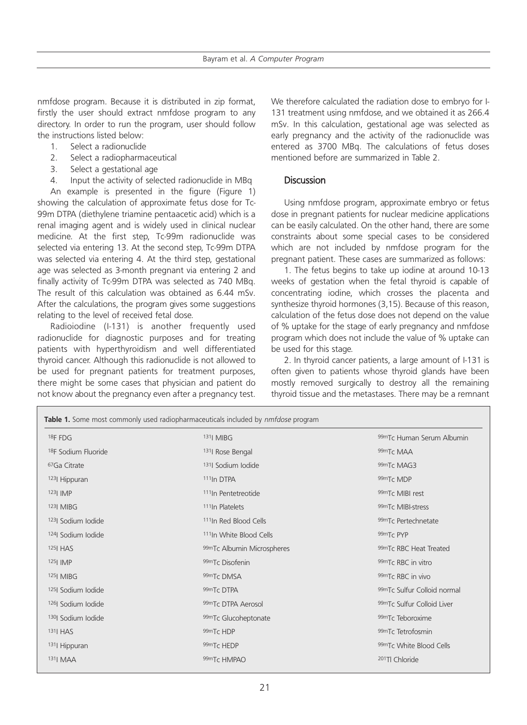nmfdose program. Because it is distributed in zip format, firstly the user should extract nmfdose program to any directory. In order to run the program, user should follow the instructions listed below:

- 1. Select a radionuclide
- 2. Select a radiopharmaceutical
- 3. Select a gestational age
- 4. Input the activity of selected radionuclide in MBq

An example is presented in the figure (Figure 1) showing the calculation of approximate fetus dose for Tc-99m DTPA (diethylene triamine pentaacetic acid) which is a renal imaging agent and is widely used in clinical nuclear medicine. At the first step, Tc-99m radionuclide was selected via entering 13. At the second step, Tc-99m DTPA was selected via entering 4. At the third step, gestational age was selected as 3-month pregnant via entering 2 and finally activity of Tc-99m DTPA was selected as 740 MBq. The result of this calculation was obtained as 6.44 mSv. After the calculations, the program gives some suggestions relating to the level of received fetal dose.

Radioiodine (I-131) is another frequently used radionuclide for diagnostic purposes and for treating patients with hyperthyroidism and well differentiated thyroid cancer. Although this radionuclide is not allowed to be used for pregnant patients for treatment purposes, there might be some cases that physician and patient do not know about the pregnancy even after a pregnancy test.

We therefore calculated the radiation dose to embryo for I-131 treatment using nmfdose, and we obtained it as 266.4 mSv. In this calculation, gestational age was selected as early pregnancy and the activity of the radionuclide was entered as 3700 MBq. The calculations of fetus doses mentioned before are summarized in Table 2.

## Discussion

Using nmfdose program, approximate embryo or fetus dose in pregnant patients for nuclear medicine applications can be easily calculated. On the other hand, there are some constraints about some special cases to be considered which are not included by nmfdose program for the pregnant patient. These cases are summarized as follows:

1. The fetus begins to take up iodine at around 10-13 weeks of gestation when the fetal thyroid is capable of concentrating iodine, which crosses the placenta and synthesize thyroid hormones (3,15). Because of this reason, calculation of the fetus dose does not depend on the value of % uptake for the stage of early pregnancy and nmfdose program which does not include the value of % uptake can be used for this stage.

2. In thyroid cancer patients, a large amount of I-131 is often given to patients whose thyroid glands have been mostly removed surgically to destroy all the remaining thyroid tissue and the metastases. There may be a remnant

| Table 1. Some most commonly used radiopharmaceuticals included by nmfdose program |                                     |                             |  |  |
|-----------------------------------------------------------------------------------|-------------------------------------|-----------------------------|--|--|
| 18F FDG                                                                           | 131  MIBG                           | 99mTc Human Serum Albumin   |  |  |
| <sup>18</sup> F Sodium Fluoride                                                   | <sup>131</sup> Rose Bengal          | 99mTc MAA                   |  |  |
| <sup>67</sup> Ga Citrate                                                          | <sup>131</sup> Sodium Iodide        | 99mTc MAG3                  |  |  |
| <sup>123</sup> Hippuran                                                           | <sup>111</sup> In DTPA              | 99mTc MDP                   |  |  |
| 123  IMP                                                                          | <sup>111</sup> In Pentetreotide     | 99mTc MIBI rest             |  |  |
| $123$ MIBG                                                                        | <sup>111</sup> In Platelets         | 99mTc MIBI-stress           |  |  |
| 1231 Sodium Iodide                                                                | <sup>111</sup> In Red Blood Cells   | 99mTc Pertechnetate         |  |  |
| 124 Sodium Iodide                                                                 | <sup>111</sup> In White Blood Cells | 99m <sub>Tc</sub> PYP       |  |  |
| 125  HAS                                                                          | 99mTc Albumin Microspheres          | 99mTc RBC Heat Treated      |  |  |
| $125$   IMP                                                                       | 99mTc Disofenin                     | 99mTc RBC in vitro          |  |  |
| 125  MIBG                                                                         | 99mTc DMSA                          | 99mTc RBC in vivo           |  |  |
| 125 Sodium Iodide                                                                 | 99mTc DTPA                          | 99mTc Sulfur Colloid normal |  |  |
| 126  Sodium Iodide                                                                | 99mTc DTPA Aerosol                  | 99mTc Sulfur Colloid Liver  |  |  |
| 130 Sodium Iodide                                                                 | 99mTc Glucoheptonate                | 99mTc Teboroxime            |  |  |
| $131$ HAS                                                                         | 99mTc HDP                           | 99mTc Tetrofosmin           |  |  |
| 131  Hippuran                                                                     | 99mTc HEDP                          | 99mTc White Blood Cells     |  |  |
| 131  MAA                                                                          | 99mTc HMPAO                         | <sup>201</sup> Tl Chloride  |  |  |
|                                                                                   |                                     |                             |  |  |